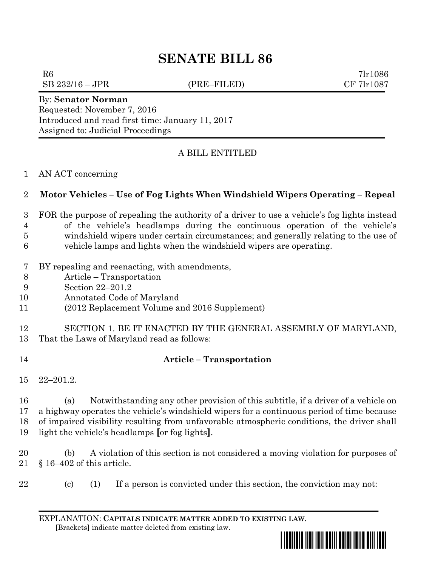## **SENATE BILL 86**

 $R6$  7lr1086

 $SB\ 232/16-JPR$  (PRE–FILED) CF 7lr1087

By: **Senator Norman** Requested: November 7, 2016 Introduced and read first time: January 11, 2017 Assigned to: Judicial Proceedings

## A BILL ENTITLED

AN ACT concerning

## **Motor Vehicles – Use of Fog Lights When Windshield Wipers Operating – Repeal**

- FOR the purpose of repealing the authority of a driver to use a vehicle's fog lights instead of the vehicle's headlamps during the continuous operation of the vehicle's
- windshield wipers under certain circumstances; and generally relating to the use of
- vehicle lamps and lights when the windshield wipers are operating.
- BY repealing and reenacting, with amendments,
- Article Transportation
- Section 22–201.2
- Annotated Code of Maryland
- (2012 Replacement Volume and 2016 Supplement)
- SECTION 1. BE IT ENACTED BY THE GENERAL ASSEMBLY OF MARYLAND,
- That the Laws of Maryland read as follows:
- 

## **Article – Transportation**

22–201.2.

 (a) Notwithstanding any other provision of this subtitle, if a driver of a vehicle on a highway operates the vehicle's windshield wipers for a continuous period of time because of impaired visibility resulting from unfavorable atmospheric conditions, the driver shall light the vehicle's headlamps **[**or fog lights**]**.

 (b) A violation of this section is not considered a moving violation for purposes of § 16–402 of this article.

- 
- (c) (1) If a person is convicted under this section, the conviction may not:

EXPLANATION: **CAPITALS INDICATE MATTER ADDED TO EXISTING LAW**.  **[**Brackets**]** indicate matter deleted from existing law.